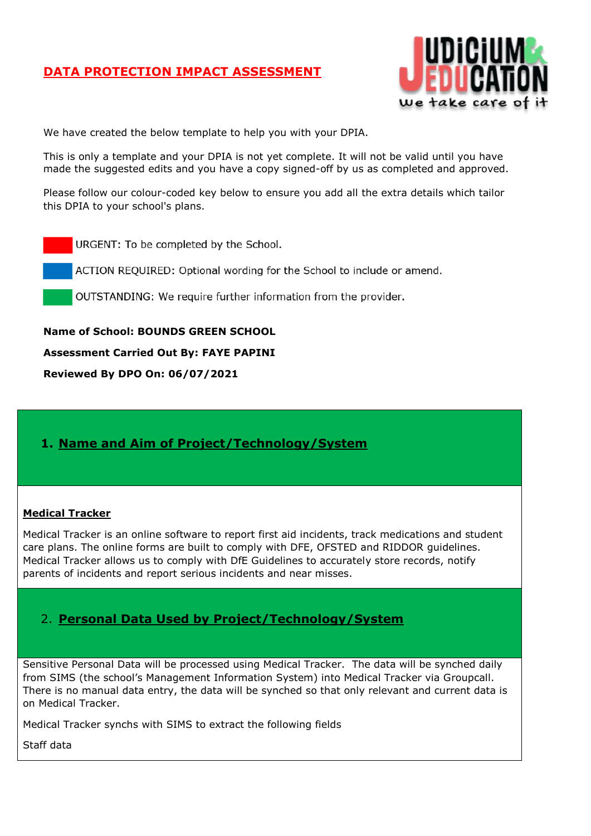

We have created the below template to help you with your DPIA.

This is only a template and your DPIA is not yet complete. It will not be valid until you have made the suggested edits and you have a copy signed-off by us as completed and approved.

Please follow our colour-coded key below to ensure you add all the extra details which tailor this DPIA to your school's plans.

URGENT: To be completed by the School.

ACTION REQUIRED: Optional wording for the School to include or amend.

OUTSTANDING: We require further information from the provider.

**Name of School: BOUNDS GREEN SCHOOL**

**Assessment Carried Out By: FAYE PAPINI**

**Reviewed By DPO On: 06/07/2021**

### **1. Name and Aim of Project/Technology/System**

#### **Medical Tracker**

Medical Tracker is an online software to report first aid incidents, track medications and student care plans. The online forms are built to comply with DFE, OFSTED and RIDDOR guidelines. Medical Tracker allows us to comply with DfE Guidelines to accurately store records, notify parents of incidents and report serious incidents and near misses.

### 2. **Personal Data Used by Project/Technology/System**

Sensitive Personal Data will be processed using Medical Tracker. The data will be synched daily from SIMS (the school's Management Information System) into Medical Tracker via Groupcall. There is no manual data entry, the data will be synched so that only relevant and current data is on Medical Tracker.

Medical Tracker synchs with SIMS to extract the following fields

Staff data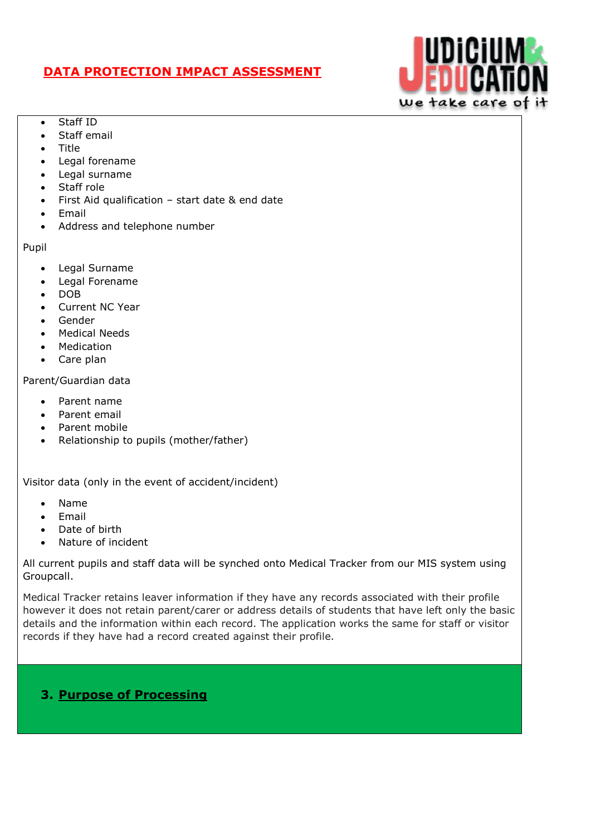

- Staff ID
- Staff email
- Title
- Legal forename
- Legal surname
- Staff role
- First Aid qualification start date & end date
- Email
- Address and telephone number

Pupil

- Legal Surname
- Legal Forename
- DOB
- Current NC Year
- Gender
- Medical Needs
- Medication
- Care plan

### Parent/Guardian data

- Parent name
- Parent email
- Parent mobile
- Relationship to pupils (mother/father)

Visitor data (only in the event of accident/incident)

- Name
- Email
- Date of birth
- Nature of incident

All current pupils and staff data will be synched onto Medical Tracker from our MIS system using Groupcall.

Medical Tracker retains leaver information if they have any records associated with their profile however it does not retain parent/carer or address details of students that have left only the basic details and the information within each record. The application works the same for staff or visitor records if they have had a record created against their profile.

## **3. Purpose of Processing**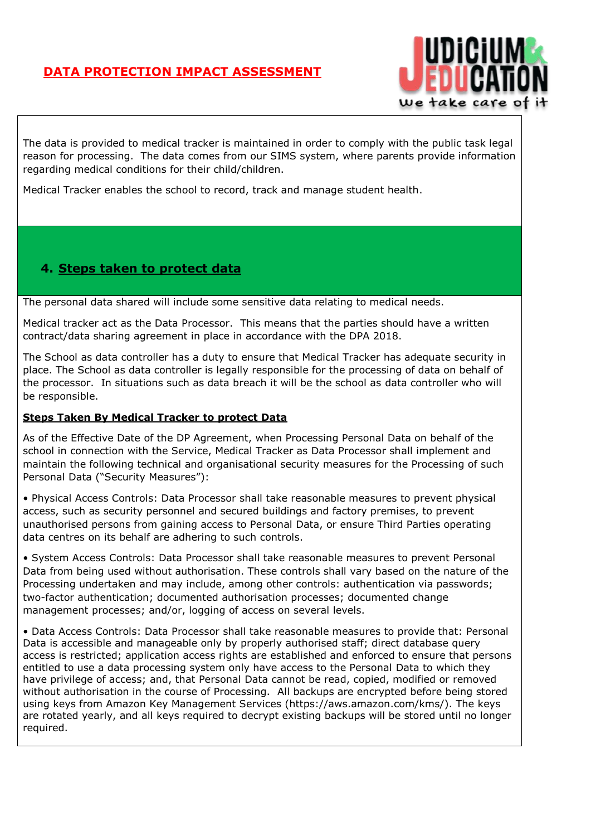

The data is provided to medical tracker is maintained in order to comply with the public task legal reason for processing. The data comes from our SIMS system, where parents provide information regarding medical conditions for their child/children.

Medical Tracker enables the school to record, track and manage student health.

## **4. Steps taken to protect data**

The personal data shared will include some sensitive data relating to medical needs.

Medical tracker act as the Data Processor. This means that the parties should have a written contract/data sharing agreement in place in accordance with the DPA 2018.

The School as data controller has a duty to ensure that Medical Tracker has adequate security in place. The School as data controller is legally responsible for the processing of data on behalf of the processor. In situations such as data breach it will be the school as data controller who will be responsible.

### **Steps Taken By Medical Tracker to protect Data**

As of the Effective Date of the DP Agreement, when Processing Personal Data on behalf of the school in connection with the Service, Medical Tracker as Data Processor shall implement and maintain the following technical and organisational security measures for the Processing of such Personal Data ("Security Measures"):

• Physical Access Controls: Data Processor shall take reasonable measures to prevent physical access, such as security personnel and secured buildings and factory premises, to prevent unauthorised persons from gaining access to Personal Data, or ensure Third Parties operating data centres on its behalf are adhering to such controls.

• System Access Controls: Data Processor shall take reasonable measures to prevent Personal Data from being used without authorisation. These controls shall vary based on the nature of the Processing undertaken and may include, among other controls: authentication via passwords; two-factor authentication; documented authorisation processes; documented change management processes; and/or, logging of access on several levels.

• Data Access Controls: Data Processor shall take reasonable measures to provide that: Personal Data is accessible and manageable only by properly authorised staff; direct database query access is restricted; application access rights are established and enforced to ensure that persons entitled to use a data processing system only have access to the Personal Data to which they have privilege of access; and, that Personal Data cannot be read, copied, modified or removed without authorisation in the course of Processing. All backups are encrypted before being stored using keys from Amazon Key Management Services (https://aws.amazon.com/kms/). The keys are rotated yearly, and all keys required to decrypt existing backups will be stored until no longer required.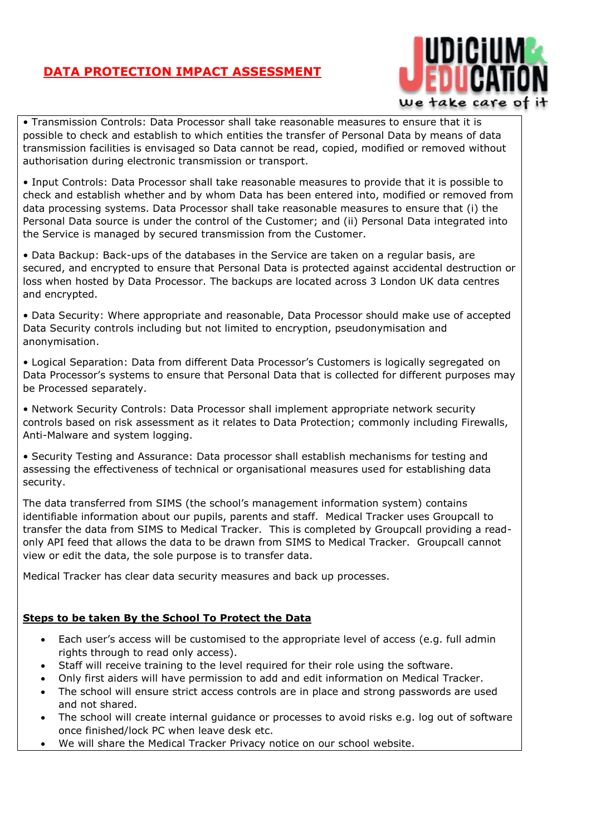

• Transmission Controls: Data Processor shall take reasonable measures to ensure that it is possible to check and establish to which entities the transfer of Personal Data by means of data transmission facilities is envisaged so Data cannot be read, copied, modified or removed without authorisation during electronic transmission or transport.

• Input Controls: Data Processor shall take reasonable measures to provide that it is possible to check and establish whether and by whom Data has been entered into, modified or removed from data processing systems. Data Processor shall take reasonable measures to ensure that (i) the Personal Data source is under the control of the Customer; and (ii) Personal Data integrated into the Service is managed by secured transmission from the Customer.

• Data Backup: Back-ups of the databases in the Service are taken on a regular basis, are secured, and encrypted to ensure that Personal Data is protected against accidental destruction or loss when hosted by Data Processor. The backups are located across 3 London UK data centres and encrypted.

• Data Security: Where appropriate and reasonable, Data Processor should make use of accepted Data Security controls including but not limited to encryption, pseudonymisation and anonymisation.

• Logical Separation: Data from different Data Processor's Customers is logically segregated on Data Processor's systems to ensure that Personal Data that is collected for different purposes may be Processed separately.

• Network Security Controls: Data Processor shall implement appropriate network security controls based on risk assessment as it relates to Data Protection; commonly including Firewalls, Anti-Malware and system logging.

• Security Testing and Assurance: Data processor shall establish mechanisms for testing and assessing the effectiveness of technical or organisational measures used for establishing data security.

The data transferred from SIMS (the school's management information system) contains identifiable information about our pupils, parents and staff. Medical Tracker uses Groupcall to transfer the data from SIMS to Medical Tracker. This is completed by Groupcall providing a readonly API feed that allows the data to be drawn from SIMS to Medical Tracker. Groupcall cannot view or edit the data, the sole purpose is to transfer data.

Medical Tracker has clear data security measures and back up processes.

### **Steps to be taken By the School To Protect the Data**

- Each user's access will be customised to the appropriate level of access (e.g. full admin rights through to read only access).
- Staff will receive training to the level required for their role using the software.
- Only first aiders will have permission to add and edit information on Medical Tracker.
- The school will ensure strict access controls are in place and strong passwords are used and not shared.
- The school will create internal guidance or processes to avoid risks e.g. log out of software once finished/lock PC when leave desk etc.
- We will share the Medical Tracker Privacy notice on our school website.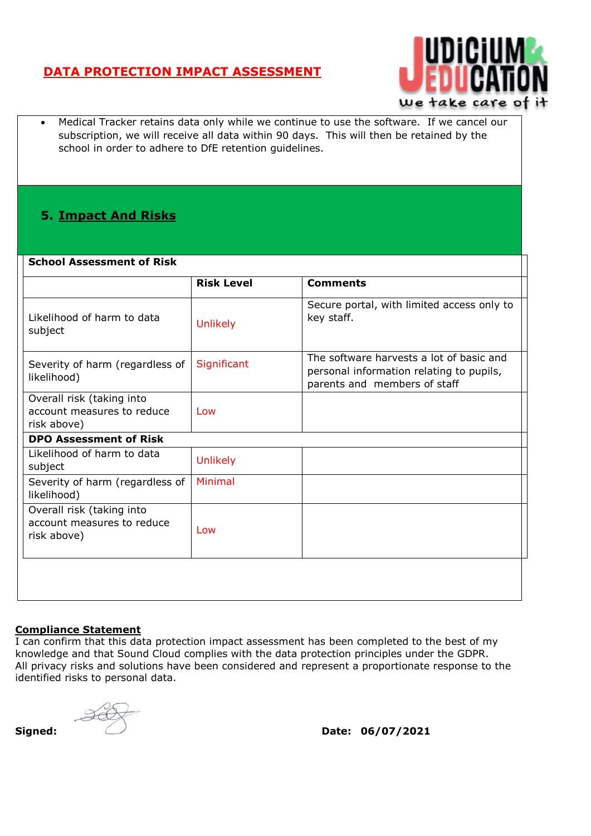

 Medical Tracker retains data only while we continue to use the software. If we cancel our subscription, we will receive all data within 90 days. This will then be retained by the school in order to adhere to DfE retention guidelines.

## **5. Impact And Risks**

#### **School Assessment of Risk**

|                                                                        | <b>Risk Level</b> | <b>Comments</b>                                                                                                      |
|------------------------------------------------------------------------|-------------------|----------------------------------------------------------------------------------------------------------------------|
| Likelihood of harm to data<br>subject                                  | <b>Unlikely</b>   | Secure portal, with limited access only to<br>key staff.                                                             |
| Severity of harm (regardless of<br>likelihood)                         | Significant       | The software harvests a lot of basic and<br>personal information relating to pupils,<br>parents and members of staff |
| Overall risk (taking into<br>account measures to reduce<br>risk above) | Low               |                                                                                                                      |
| <b>DPO Assessment of Risk</b>                                          |                   |                                                                                                                      |
| Likelihood of harm to data<br>subject                                  | <b>Unlikely</b>   |                                                                                                                      |
| Severity of harm (regardless of<br>likelihood)                         | <b>Minimal</b>    |                                                                                                                      |
| Overall risk (taking into<br>account measures to reduce<br>risk above) | Low               |                                                                                                                      |
|                                                                        |                   |                                                                                                                      |

### **Compliance Statement**

I can confirm that this data protection impact assessment has been completed to the best of my knowledge and that Sound Cloud complies with the data protection principles under the GDPR. All privacy risks and solutions have been considered and represent a proportionate response to the identified risks to personal data.



**Signed: Date: 06/07/2021**